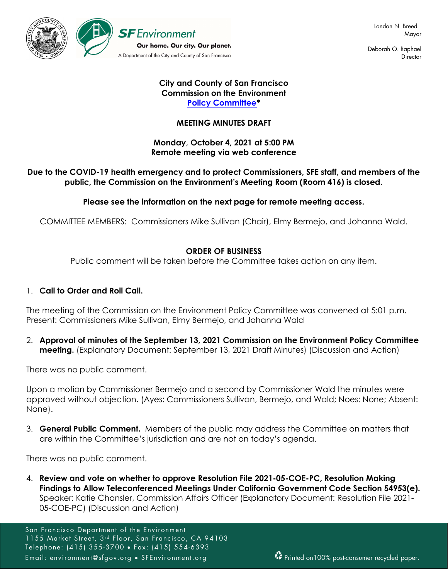

 Deborah O. Raphael **Director** 

### City and County of San Francisco Commission on the Environment **Policy Committee\***

## MEETING MINUTES DRAFT

### Monday, October 4, 2021 at 5:00 PM Remote meeting via web conference

## Due to the COVID-19 health emergency and to protect Commissioners, SFE staff, and members of the public, the Commission on the Environment's Meeting Room (Room 416) is closed.

### Please see the information on the next page for remote meeting access.

COMMITTEE MEMBERS: Commissioners Mike Sullivan (Chair), Elmy Bermejo, and Johanna Wald.

### ORDER OF BUSINESS

Public comment will be taken before the Committee takes action on any item.

### 1. Call to Order and Roll Call.

The meeting of the Commission on the Environment Policy Committee was convened at 5:01 p.m. Present: Commissioners Mike Sullivan, Elmy Bermejo, and Johanna Wald

2. Approval of minutes of the September 13, 2021 Commission on the Environment Policy Committee meeting. (Explanatory Document: September 13, 2021 Draft Minutes) (Discussion and Action)

There was no public comment.

Upon a motion by Commissioner Bermejo and a second by Commissioner Wald the minutes were approved without objection. (Ayes: Commissioners Sullivan, Bermejo, and Wald; Noes: None; Absent: None).

3. **General Public Comment.** Members of the public may address the Committee on matters that are within the Committee's jurisdiction and are not on today's agenda.

There was no public comment.

4. Review and vote on whether to approve Resolution File 2021-05-COE-PC, Resolution Making Findings to Allow Teleconferenced Meetings Under California Government Code Section 54953(e). Speaker: Katie Chansler, Commission Affairs Officer (Explanatory Document: Resolution File 2021- 05-COE-PC) (Discussion and Action)

San Francisco Department of the Environment 1155 Market Street, 3<sup>rd</sup> Floor, San Francisco, CA 94103 Telephone: (415) 355-3700 Fax: (415) 554-6393 Email: environment@sfgov.org • SFEnvironment.org Printed on100% post-consumer recycled paper.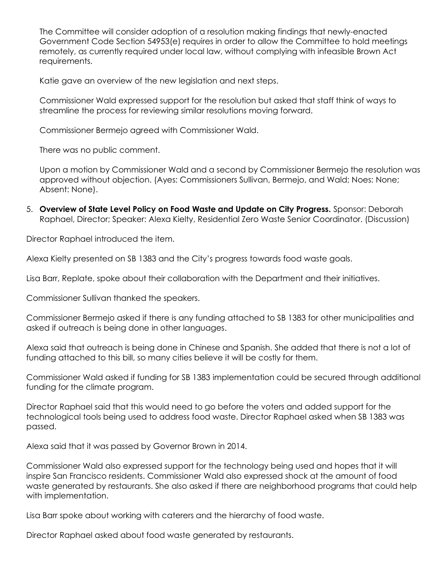The Committee will consider adoption of a resolution making findings that newly-enacted Government Code Section 54953(e) requires in order to allow the Committee to hold meetings remotely, as currently required under local law, without complying with infeasible Brown Act requirements.

Katie gave an overview of the new legislation and next steps.

Commissioner Wald expressed support for the resolution but asked that staff think of ways to streamline the process for reviewing similar resolutions moving forward.

Commissioner Bermejo agreed with Commissioner Wald.

There was no public comment.

Upon a motion by Commissioner Wald and a second by Commissioner Bermejo the resolution was approved without objection. (Ayes: Commissioners Sullivan, Bermejo, and Wald; Noes: None; Absent: None).

5. Overview of State Level Policy on Food Waste and Update on City Progress. Sponsor: Deborah Raphael, Director; Speaker: Alexa Kielty, Residential Zero Waste Senior Coordinator. (Discussion)

Director Raphael introduced the item.

Alexa Kielty presented on SB 1383 and the City's progress towards food waste goals.

Lisa Barr, Replate, spoke about their collaboration with the Department and their initiatives.

Commissioner Sullivan thanked the speakers.

Commissioner Bermejo asked if there is any funding attached to SB 1383 for other municipalities and asked if outreach is being done in other languages.

Alexa said that outreach is being done in Chinese and Spanish. She added that there is not a lot of funding attached to this bill, so many cities believe it will be costly for them.

Commissioner Wald asked if funding for SB 1383 implementation could be secured through additional funding for the climate program.

Director Raphael said that this would need to go before the voters and added support for the technological tools being used to address food waste. Director Raphael asked when SB 1383 was passed.

Alexa said that it was passed by Governor Brown in 2014.

Commissioner Wald also expressed support for the technology being used and hopes that it will inspire San Francisco residents. Commissioner Wald also expressed shock at the amount of food waste generated by restaurants. She also asked if there are neighborhood programs that could help with implementation.

Lisa Barr spoke about working with caterers and the hierarchy of food waste.

Director Raphael asked about food waste generated by restaurants.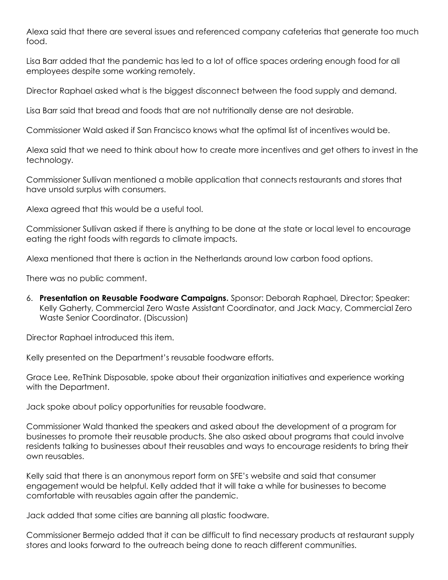Alexa said that there are several issues and referenced company cafeterias that generate too much food.

Lisa Barr added that the pandemic has led to a lot of office spaces ordering enough food for all employees despite some working remotely.

Director Raphael asked what is the biggest disconnect between the food supply and demand.

Lisa Barr said that bread and foods that are not nutritionally dense are not desirable.

Commissioner Wald asked if San Francisco knows what the optimal list of incentives would be.

Alexa said that we need to think about how to create more incentives and get others to invest in the technology.

Commissioner Sullivan mentioned a mobile application that connects restaurants and stores that have unsold surplus with consumers.

Alexa agreed that this would be a useful tool.

Commissioner Sullivan asked if there is anything to be done at the state or local level to encourage eating the right foods with regards to climate impacts.

Alexa mentioned that there is action in the Netherlands around low carbon food options.

There was no public comment.

6. Presentation on Reusable Foodware Campaigns. Sponsor: Deborah Raphael, Director; Speaker: Kelly Gaherty, Commercial Zero Waste Assistant Coordinator, and Jack Macy, Commercial Zero Waste Senior Coordinator. (Discussion)

Director Raphael introduced this item.

Kelly presented on the Department's reusable foodware efforts.

Grace Lee, ReThink Disposable, spoke about their organization initiatives and experience working with the Department.

Jack spoke about policy opportunities for reusable foodware.

Commissioner Wald thanked the speakers and asked about the development of a program for businesses to promote their reusable products. She also asked about programs that could involve residents talking to businesses about their reusables and ways to encourage residents to bring their own reusables.

Kelly said that there is an anonymous report form on SFE's website and said that consumer engagement would be helpful. Kelly added that it will take a while for businesses to become comfortable with reusables again after the pandemic.

Jack added that some cities are banning all plastic foodware.

Commissioner Bermejo added that it can be difficult to find necessary products at restaurant supply stores and looks forward to the outreach being done to reach different communities.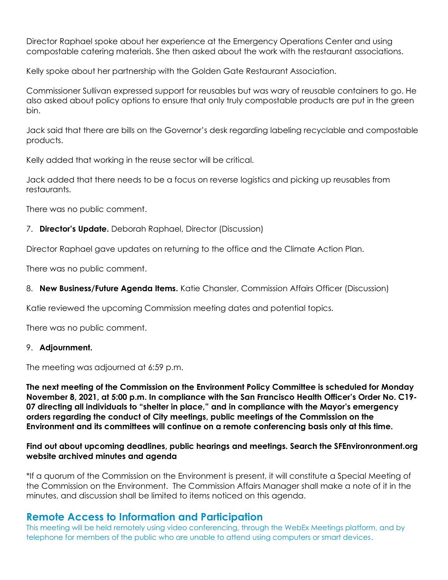Director Raphael spoke about her experience at the Emergency Operations Center and using compostable catering materials. She then asked about the work with the restaurant associations.

Kelly spoke about her partnership with the Golden Gate Restaurant Association.

Commissioner Sullivan expressed support for reusables but was wary of reusable containers to go. He also asked about policy options to ensure that only truly compostable products are put in the green bin.

Jack said that there are bills on the Governor's desk regarding labeling recyclable and compostable products.

Kelly added that working in the reuse sector will be critical.

Jack added that there needs to be a focus on reverse logistics and picking up reusables from restaurants.

There was no public comment.

### 7. Director's Update. Deborah Raphael, Director (Discussion)

Director Raphael gave updates on returning to the office and the Climate Action Plan.

There was no public comment.

8. New Business/Future Agenda Items. Katie Chansler, Commission Affairs Officer (Discussion)

Katie reviewed the upcoming Commission meeting dates and potential topics.

There was no public comment.

#### 9. Adjournment.

The meeting was adjourned at 6:59 p.m.

The next meeting of the Commission on the Environment Policy Committee is scheduled for Monday November 8, 2021, at 5:00 p.m. In compliance with the San Francisco Health Officer's Order No. C19- 07 directing all individuals to "shelter in place," and in compliance with the Mayor's emergency orders regarding the conduct of City meetings, public meetings of the Commission on the Environment and its committees will continue on a remote conferencing basis only at this time.

### Find out about upcoming deadlines, public hearings and meetings. Search the SFEnvironronment.org website archived minutes and agenda

\*If a quorum of the Commission on the Environment is present, it will constitute a Special Meeting of the Commission on the Environment. The Commission Affairs Manager shall make a note of it in the minutes, and discussion shall be limited to items noticed on this agenda.

# Remote Access to Information and Participation

This meeting will be held remotely using video conferencing, through the WebEx Meetings platform, and by telephone for members of the public who are unable to attend using computers or smart devices.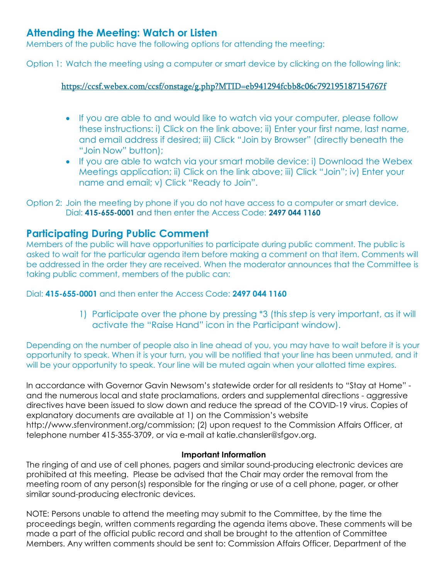# Attending the Meeting: Watch or Listen

Members of the public have the following options for attending the meeting:

Option 1: Watch the meeting using a computer or smart device by clicking on the following link:

# https://ccsf.webex.com/ccsf/onstage/g.php?MTID=eb941294fcbb8c06c792195187154767f

- If you are able to and would like to watch via your computer, please follow these instructions: i) Click on the link above; ii) Enter your first name, last name, and email address if desired; iii) Click "Join by Browser" (directly beneath the "Join Now" button);
- If you are able to watch via your smart mobile device: i) Download the Webex Meetings application; ii) Click on the link above; iii) Click "Join"; iv) Enter your name and email; v) Click "Ready to Join".

# Participating During Public Comment

Members of the public will have opportunities to participate during public comment. The public is asked to wait for the particular agenda item before making a comment on that item. Comments will be addressed in the order they are received. When the moderator announces that the Committee is taking public comment, members of the public can:

Dial: 415-655-0001 and then enter the Access Code: 2497 044 1160

1) Participate over the phone by pressing \*3 (this step is very important, as it will activate the "Raise Hand" icon in the Participant window).

Depending on the number of people also in line ahead of you, you may have to wait before it is your opportunity to speak. When it is your turn, you will be notified that your line has been unmuted, and it will be your opportunity to speak. Your line will be muted again when your allotted time expires.

In accordance with Governor Gavin Newsom's statewide order for all residents to "Stay at Home" and the numerous local and state proclamations, orders and supplemental directions - aggressive directives have been issued to slow down and reduce the spread of the COVID-19 virus. Copies of explanatory documents are available at 1) on the Commission's website http://www.sfenvironment.org/commission; (2) upon request to the Commission Affairs Officer, at telephone number 415-355-3709, or via e-mail at katie.chansler@sfgov.org.

### Important Information

The ringing of and use of cell phones, pagers and similar sound-producing electronic devices are prohibited at this meeting. Please be advised that the Chair may order the removal from the meeting room of any person(s) responsible for the ringing or use of a cell phone, pager, or other similar sound-producing electronic devices.

NOTE: Persons unable to attend the meeting may submit to the Committee, by the time the proceedings begin, written comments regarding the agenda items above. These comments will be made a part of the official public record and shall be brought to the attention of Committee Members. Any written comments should be sent to: Commission Affairs Officer, Department of the

Option 2: Join the meeting by phone if you do not have access to a computer or smart device. Dial: 415-655-0001 and then enter the Access Code: 2497 044 1160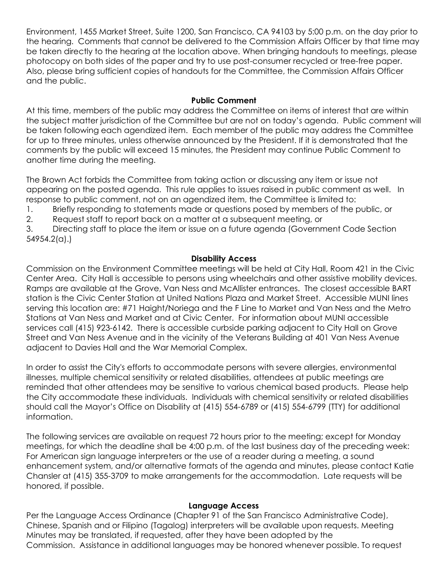Environment, 1455 Market Street, Suite 1200, San Francisco, CA 94103 by 5:00 p.m. on the day prior to the hearing. Comments that cannot be delivered to the Commission Affairs Officer by that time may be taken directly to the hearing at the location above. When bringing handouts to meetings, please photocopy on both sides of the paper and try to use post-consumer recycled or tree-free paper. Also, please bring sufficient copies of handouts for the Committee, the Commission Affairs Officer and the public.

### Public Comment

At this time, members of the public may address the Committee on items of interest that are within the subject matter jurisdiction of the Committee but are not on today's agenda. Public comment will be taken following each agendized item. Each member of the public may address the Committee for up to three minutes, unless otherwise announced by the President. If it is demonstrated that the comments by the public will exceed 15 minutes, the President may continue Public Comment to another time during the meeting.

The Brown Act forbids the Committee from taking action or discussing any item or issue not appearing on the posted agenda. This rule applies to issues raised in public comment as well. In response to public comment, not on an agendized item, the Committee is limited to:

1. Briefly responding to statements made or questions posed by members of the public, or

2. Request staff to report back on a matter at a subsequent meeting, or

3. Directing staff to place the item or issue on a future agenda (Government Code Section 54954.2(a).)

## Disability Access

Commission on the Environment Committee meetings will be held at City Hall, Room 421 in the Civic Center Area. City Hall is accessible to persons using wheelchairs and other assistive mobility devices. Ramps are available at the Grove, Van Ness and McAllister entrances. The closest accessible BART station is the Civic Center Station at United Nations Plaza and Market Street. Accessible MUNI lines serving this location are: #71 Haight/Noriega and the F Line to Market and Van Ness and the Metro Stations at Van Ness and Market and at Civic Center. For information about MUNI accessible services call (415) 923-6142. There is accessible curbside parking adjacent to City Hall on Grove Street and Van Ness Avenue and in the vicinity of the Veterans Building at 401 Van Ness Avenue adjacent to Davies Hall and the War Memorial Complex.

In order to assist the City's efforts to accommodate persons with severe allergies, environmental illnesses, multiple chemical sensitivity or related disabilities, attendees at public meetings are reminded that other attendees may be sensitive to various chemical based products. Please help the City accommodate these individuals. Individuals with chemical sensitivity or related disabilities should call the Mayor's Office on Disability at (415) 554-6789 or (415) 554-6799 (TTY) for additional information.

The following services are available on request 72 hours prior to the meeting; except for Monday meetings, for which the deadline shall be 4:00 p.m. of the last business day of the preceding week: For American sign language interpreters or the use of a reader during a meeting, a sound enhancement system, and/or alternative formats of the agenda and minutes, please contact Katie Chansler at (415) 355-3709 to make arrangements for the accommodation. Late requests will be honored, if possible.

### Language Access

Per the Language Access Ordinance (Chapter 91 of the San Francisco Administrative Code), Chinese, Spanish and or Filipino (Tagalog) interpreters will be available upon requests. Meeting Minutes may be translated, if requested, after they have been adopted by the Commission. Assistance in additional languages may be honored whenever possible. To request